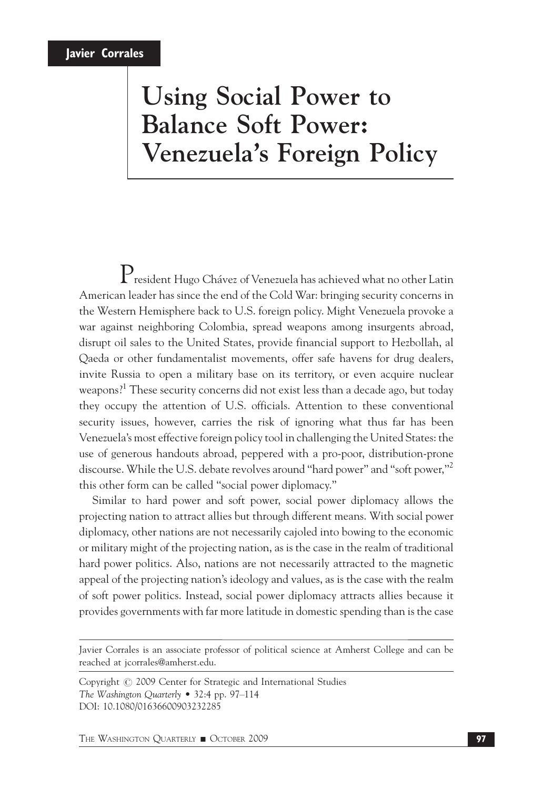# Using Social Power to Balance Soft Power: Venezuela's Foreign Policy

 $\rm P$ resident Hugo Chávez of Venezuela has achieved what no other Latin American leader has since the end of the Cold War: bringing security concerns in the Western Hemisphere back to U.S. foreign policy. Might Venezuela provoke a war against neighboring Colombia, spread weapons among insurgents abroad, disrupt oil sales to the United States, provide financial support to Hezbollah, al Qaeda or other fundamentalist movements, offer safe havens for drug dealers, invite Russia to open a military base on its territory, or even acquire nuclear weapons?<sup>1</sup> These security concerns did not exist less than a decade ago, but today they occupy the attention of U.S. officials. Attention to these conventional security issues, however, carries the risk of ignoring what thus far has been Venezuela's most effective foreign policy tool in challenging the United States: the use of generous handouts abroad, peppered with a pro-poor, distribution-prone discourse. While the U.S. debate revolves around "hard power" and "soft power,"<sup>2</sup> this other form can be called ''social power diplomacy.''

Similar to hard power and soft power, social power diplomacy allows the projecting nation to attract allies but through different means. With social power diplomacy, other nations are not necessarily cajoled into bowing to the economic or military might of the projecting nation, as is the case in the realm of traditional hard power politics. Also, nations are not necessarily attracted to the magnetic appeal of the projecting nation's ideology and values, as is the case with the realm of soft power politics. Instead, social power diplomacy attracts allies because it provides governments with far more latitude in domestic spending than is the case

Javier Corrales is an associate professor of political science at Amherst College and can be reached at jcorrales@amherst.edu.

Copyright © 2009 Center for Strategic and International Studies The Washington Quarterly  $\bullet$  32:4 pp. 97–114 DOI: 10.1080/01636600903232285

The Washington Quarterly  $\blacksquare$  October 2009 97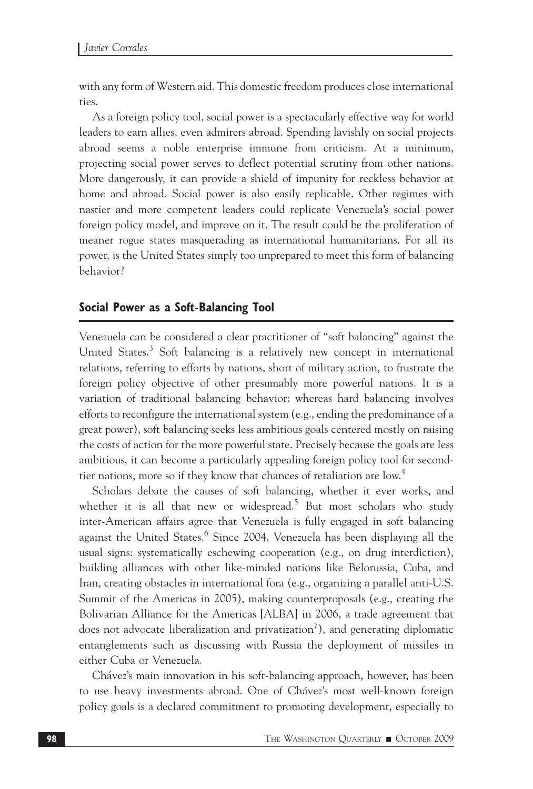with any form of Western aid. This domestic freedom produces close international ties.

As a foreign policy tool, social power is a spectacularly effective way for world leaders to earn allies, even admirers abroad. Spending lavishly on social projects abroad seems a noble enterprise immune from criticism. At a minimum, projecting social power serves to deflect potential scrutiny from other nations. More dangerously, it can provide a shield of impunity for reckless behavior at home and abroad. Social power is also easily replicable. Other regimes with nastier and more competent leaders could replicate Venezuela's social power foreign policy model, and improve on it. The result could be the proliferation of meaner rogue states masquerading as international humanitarians. For all its power, is the United States simply too unprepared to meet this form of balancing behavior?

# Social Power as a Soft-Balancing Tool

Venezuela can be considered a clear practitioner of ''soft balancing'' against the United States.<sup>3</sup> Soft balancing is a relatively new concept in international relations, referring to efforts by nations, short of military action, to frustrate the foreign policy objective of other presumably more powerful nations. It is a variation of traditional balancing behavior: whereas hard balancing involves efforts to reconfigure the international system (e.g., ending the predominance of a great power), soft balancing seeks less ambitious goals centered mostly on raising the costs of action for the more powerful state. Precisely because the goals are less ambitious, it can become a particularly appealing foreign policy tool for secondtier nations, more so if they know that chances of retaliation are low.<sup>4</sup>

Scholars debate the causes of soft balancing, whether it ever works, and whether it is all that new or widespread.<sup>5</sup> But most scholars who study inter-American affairs agree that Venezuela is fully engaged in soft balancing against the United States.<sup>6</sup> Since 2004, Venezuela has been displaying all the usual signs: systematically eschewing cooperation (e.g., on drug interdiction), building alliances with other like-minded nations like Belorussia, Cuba, and Iran, creating obstacles in international fora (e.g., organizing a parallel anti-U.S. Summit of the Americas in 2005), making counterproposals (e.g., creating the Bolivarian Alliance for the Americas [ALBA] in 2006, a trade agreement that does not advocate liberalization and privatization<sup>7</sup>), and generating diplomatic entanglements such as discussing with Russia the deployment of missiles in either Cuba or Venezuela.

Cha´vez's main innovation in his soft-balancing approach, however, has been to use heavy investments abroad. One of Cha´vez's most well-known foreign policy goals is a declared commitment to promoting development, especially to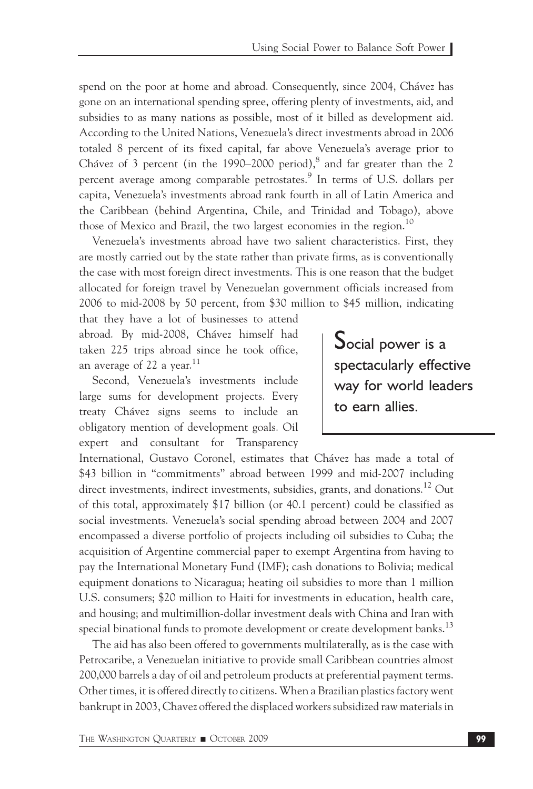spend on the poor at home and abroad. Consequently, since 2004, Chávez has gone on an international spending spree, offering plenty of investments, aid, and subsidies to as many nations as possible, most of it billed as development aid. According to the United Nations, Venezuela's direct investments abroad in 2006 totaled 8 percent of its fixed capital, far above Venezuela's average prior to Chávez of 3 percent (in the 1990–2000 period), $8$  and far greater than the 2 percent average among comparable petrostates.<sup>9</sup> In terms of U.S. dollars per capita, Venezuela's investments abroad rank fourth in all of Latin America and the Caribbean (behind Argentina, Chile, and Trinidad and Tobago), above those of Mexico and Brazil, the two largest economies in the region.<sup>10</sup>

Venezuela's investments abroad have two salient characteristics. First, they are mostly carried out by the state rather than private firms, as is conventionally the case with most foreign direct investments. This is one reason that the budget allocated for foreign travel by Venezuelan government officials increased from 2006 to mid-2008 by 50 percent, from \$30 million to \$45 million, indicating

that they have a lot of businesses to attend abroad. By mid-2008, Chávez himself had taken 225 trips abroad since he took office, an average of 22 a year.<sup>11</sup>

Second, Venezuela's investments include large sums for development projects. Every treaty Cha´vez signs seems to include an obligatory mention of development goals. Oil expert and consultant for Transparency

Social power is a spectacularly effective way for world leaders to earn allies.

International, Gustavo Coronel, estimates that Chávez has made a total of \$43 billion in "commitments" abroad between 1999 and mid-2007 including direct investments, indirect investments, subsidies, grants, and donations.<sup>12</sup> Out of this total, approximately \$17 billion (or 40.1 percent) could be classified as social investments. Venezuela's social spending abroad between 2004 and 2007 encompassed a diverse portfolio of projects including oil subsidies to Cuba; the acquisition of Argentine commercial paper to exempt Argentina from having to pay the International Monetary Fund (IMF); cash donations to Bolivia; medical equipment donations to Nicaragua; heating oil subsidies to more than 1 million U.S. consumers; \$20 million to Haiti for investments in education, health care, and housing; and multimillion-dollar investment deals with China and Iran with special binational funds to promote development or create development banks.<sup>13</sup>

The aid has also been offered to governments multilaterally, as is the case with Petrocaribe, a Venezuelan initiative to provide small Caribbean countries almost 200,000 barrels a day of oil and petroleum products at preferential payment terms. Other times, it is offered directly to citizens. When a Brazilian plastics factory went bankrupt in 2003, Chavez offered the displaced workers subsidized raw materials in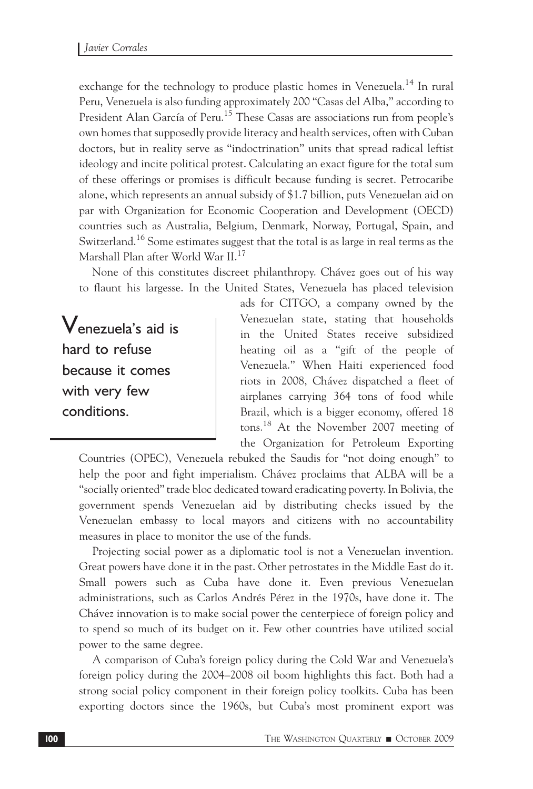exchange for the technology to produce plastic homes in Venezuela.<sup>14</sup> In rural Peru, Venezuela is also funding approximately 200 ''Casas del Alba,'' according to President Alan García of Peru.<sup>15</sup> These Casas are associations run from people's own homes that supposedly provide literacy and health services, often with Cuban doctors, but in reality serve as ''indoctrination'' units that spread radical leftist ideology and incite political protest. Calculating an exact figure for the total sum of these offerings or promises is difficult because funding is secret. Petrocaribe alone, which represents an annual subsidy of \$1.7 billion, puts Venezuelan aid on par with Organization for Economic Cooperation and Development (OECD) countries such as Australia, Belgium, Denmark, Norway, Portugal, Spain, and Switzerland.<sup>16</sup> Some estimates suggest that the total is as large in real terms as the Marshall Plan after World War II.<sup>17</sup>

None of this constitutes discreet philanthropy. Chavez goes out of his way to flaunt his largesse. In the United States, Venezuela has placed television

Venezuela's aid is hard to refuse because it comes with very few conditions.

ads for CITGO, a company owned by the Venezuelan state, stating that households in the United States receive subsidized heating oil as a ''gift of the people of Venezuela.'' When Haiti experienced food riots in 2008, Cha´vez dispatched a fleet of airplanes carrying 364 tons of food while Brazil, which is a bigger economy, offered 18 tons.18 At the November 2007 meeting of the Organization for Petroleum Exporting

Countries (OPEC), Venezuela rebuked the Saudis for ''not doing enough'' to help the poor and fight imperialism. Chávez proclaims that ALBA will be a ''socially oriented'' trade bloc dedicated toward eradicating poverty. In Bolivia, the government spends Venezuelan aid by distributing checks issued by the Venezuelan embassy to local mayors and citizens with no accountability measures in place to monitor the use of the funds.

Projecting social power as a diplomatic tool is not a Venezuelan invention. Great powers have done it in the past. Other petrostates in the Middle East do it. Small powers such as Cuba have done it. Even previous Venezuelan administrations, such as Carlos Andrés Pérez in the 1970s, have done it. The Cha´vez innovation is to make social power the centerpiece of foreign policy and to spend so much of its budget on it. Few other countries have utilized social power to the same degree.

A comparison of Cuba's foreign policy during the Cold War and Venezuela's foreign policy during the 2004—2008 oil boom highlights this fact. Both had a strong social policy component in their foreign policy toolkits. Cuba has been exporting doctors since the 1960s, but Cuba's most prominent export was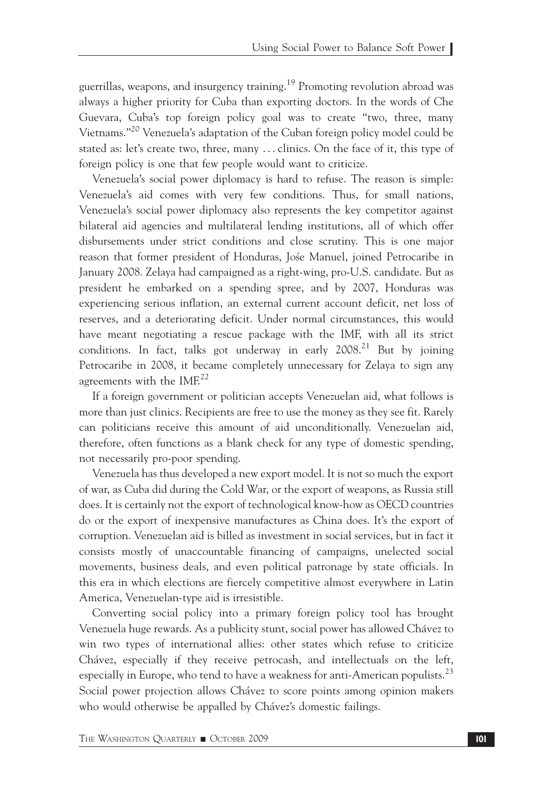guerrillas, weapons, and insurgency training.19 Promoting revolution abroad was always a higher priority for Cuba than exporting doctors. In the words of Che Guevara, Cuba's top foreign policy goal was to create ''two, three, many Vietnams.''20 Venezuela's adaptation of the Cuban foreign policy model could be stated as: let's create two, three, many ... clinics. On the face of it, this type of foreign policy is one that few people would want to criticize.

Venezuela's social power diplomacy is hard to refuse. The reason is simple: Venezuela's aid comes with very few conditions. Thus, for small nations, Venezuela's social power diplomacy also represents the key competitor against bilateral aid agencies and multilateral lending institutions, all of which offer disbursements under strict conditions and close scrutiny. This is one major reason that former president of Honduras, Jose Manuel, joined Petrocaribe in January 2008. Zelaya had campaigned as a right-wing, pro-U.S. candidate. But as president he embarked on a spending spree, and by 2007, Honduras was experiencing serious inflation, an external current account deficit, net loss of reserves, and a deteriorating deficit. Under normal circumstances, this would have meant negotiating a rescue package with the IMF, with all its strict conditions. In fact, talks got underway in early  $2008<sup>21</sup>$  But by joining Petrocaribe in 2008, it became completely unnecessary for Zelaya to sign any agreements with the IMF.<sup>22</sup>

If a foreign government or politician accepts Venezuelan aid, what follows is more than just clinics. Recipients are free to use the money as they see fit. Rarely can politicians receive this amount of aid unconditionally. Venezuelan aid, therefore, often functions as a blank check for any type of domestic spending, not necessarily pro-poor spending.

Venezuela has thus developed a new export model. It is not so much the export of war, as Cuba did during the Cold War, or the export of weapons, as Russia still does. It is certainly not the export of technological know-how as OECD countries do or the export of inexpensive manufactures as China does. It's the export of corruption. Venezuelan aid is billed as investment in social services, but in fact it consists mostly of unaccountable financing of campaigns, unelected social movements, business deals, and even political patronage by state officials. In this era in which elections are fiercely competitive almost everywhere in Latin America, Venezuelan-type aid is irresistible.

Converting social policy into a primary foreign policy tool has brought Venezuela huge rewards. As a publicity stunt, social power has allowed Cha´vez to win two types of international allies: other states which refuse to criticize Chávez, especially if they receive petrocash, and intellectuals on the left, especially in Europe, who tend to have a weakness for anti-American populists.<sup>23</sup> Social power projection allows Chávez to score points among opinion makers who would otherwise be appalled by Chávez's domestic failings.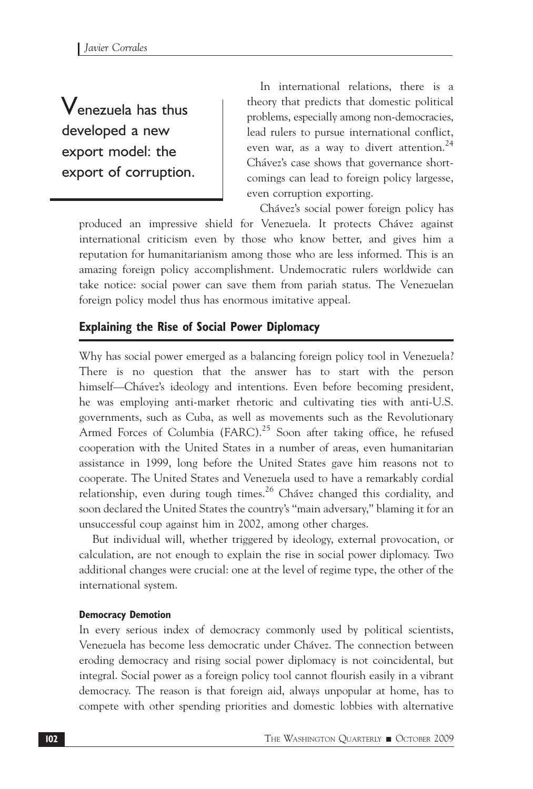Venezuela has thus developed a new export model: the export of corruption.

In international relations, there is a theory that predicts that domestic political problems, especially among non-democracies, lead rulers to pursue international conflict, even war, as a way to divert attention.<sup>24</sup> Chávez's case shows that governance shortcomings can lead to foreign policy largesse, even corruption exporting.

Chávez's social power foreign policy has produced an impressive shield for Venezuela. It protects Cha´vez against international criticism even by those who know better, and gives him a reputation for humanitarianism among those who are less informed. This is an amazing foreign policy accomplishment. Undemocratic rulers worldwide can take notice: social power can save them from pariah status. The Venezuelan foreign policy model thus has enormous imitative appeal.

# Explaining the Rise of Social Power Diplomacy

Why has social power emerged as a balancing foreign policy tool in Venezuela? There is no question that the answer has to start with the person himself—Chávez's ideology and intentions. Even before becoming president, he was employing anti-market rhetoric and cultivating ties with anti-U.S. governments, such as Cuba, as well as movements such as the Revolutionary Armed Forces of Columbia (FARC).<sup>25</sup> Soon after taking office, he refused cooperation with the United States in a number of areas, even humanitarian assistance in 1999, long before the United States gave him reasons not to cooperate. The United States and Venezuela used to have a remarkably cordial relationship, even during tough times.<sup>26</sup> Chávez changed this cordiality, and soon declared the United States the country's ''main adversary,'' blaming it for an unsuccessful coup against him in 2002, among other charges.

But individual will, whether triggered by ideology, external provocation, or calculation, are not enough to explain the rise in social power diplomacy. Two additional changes were crucial: one at the level of regime type, the other of the international system.

### Democracy Demotion

In every serious index of democracy commonly used by political scientists, Venezuela has become less democratic under Cha´vez. The connection between eroding democracy and rising social power diplomacy is not coincidental, but integral. Social power as a foreign policy tool cannot flourish easily in a vibrant democracy. The reason is that foreign aid, always unpopular at home, has to compete with other spending priorities and domestic lobbies with alternative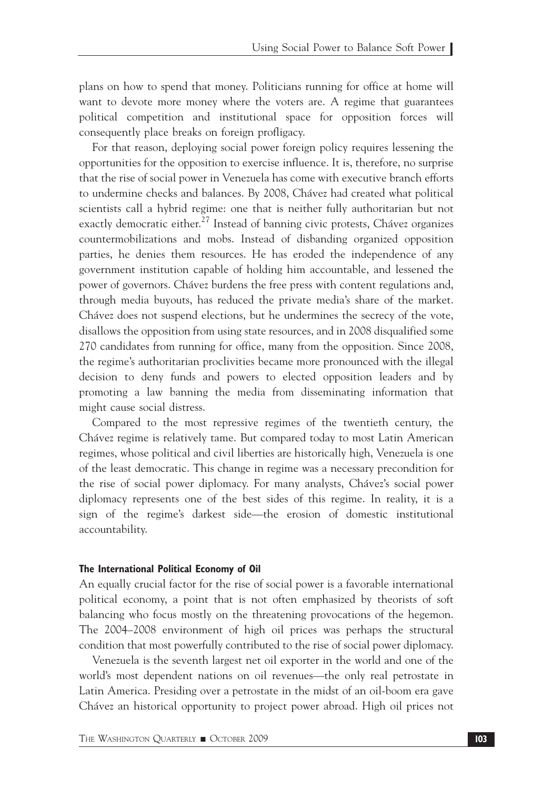plans on how to spend that money. Politicians running for office at home will want to devote more money where the voters are. A regime that guarantees political competition and institutional space for opposition forces will consequently place breaks on foreign profligacy.

For that reason, deploying social power foreign policy requires lessening the opportunities for the opposition to exercise influence. It is, therefore, no surprise that the rise of social power in Venezuela has come with executive branch efforts to undermine checks and balances. By 2008, Chávez had created what political scientists call a hybrid regime: one that is neither fully authoritarian but not exactly democratic either.<sup>27</sup> Instead of banning civic protests, Chávez organizes countermobilizations and mobs. Instead of disbanding organized opposition parties, he denies them resources. He has eroded the independence of any government institution capable of holding him accountable, and lessened the power of governors. Chávez burdens the free press with content regulations and, through media buyouts, has reduced the private media's share of the market. Cha´vez does not suspend elections, but he undermines the secrecy of the vote, disallows the opposition from using state resources, and in 2008 disqualified some 270 candidates from running for office, many from the opposition. Since 2008, the regime's authoritarian proclivities became more pronounced with the illegal decision to deny funds and powers to elected opposition leaders and by promoting a law banning the media from disseminating information that might cause social distress.

Compared to the most repressive regimes of the twentieth century, the Chávez regime is relatively tame. But compared today to most Latin American regimes, whose political and civil liberties are historically high, Venezuela is one of the least democratic. This change in regime was a necessary precondition for the rise of social power diplomacy. For many analysts, Cha´vez's social power diplomacy represents one of the best sides of this regime. In reality, it is a sign of the regime's darkest side—the erosion of domestic institutional accountability.

#### The International Political Economy of Oil

An equally crucial factor for the rise of social power is a favorable international political economy, a point that is not often emphasized by theorists of soft balancing who focus mostly on the threatening provocations of the hegemon. The 2004—2008 environment of high oil prices was perhaps the structural condition that most powerfully contributed to the rise of social power diplomacy.

Venezuela is the seventh largest net oil exporter in the world and one of the world's most dependent nations on oil revenues—the only real petrostate in Latin America. Presiding over a petrostate in the midst of an oil-boom era gave Cha´vez an historical opportunity to project power abroad. High oil prices not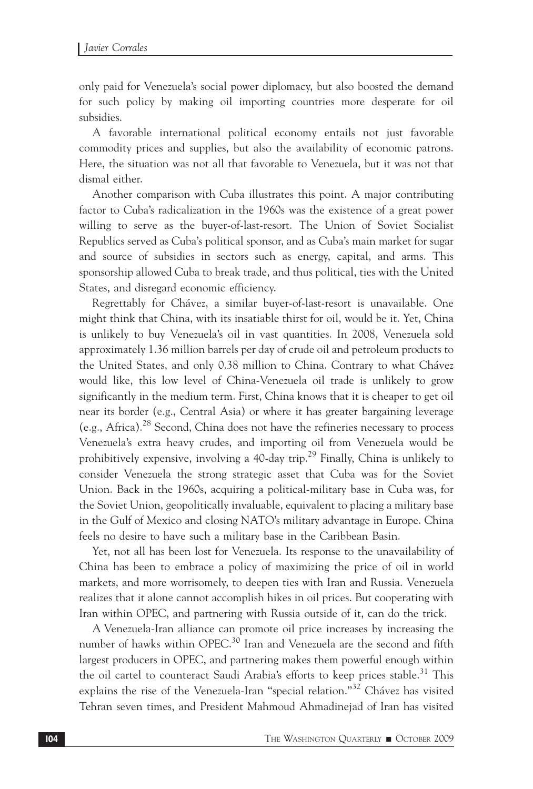only paid for Venezuela's social power diplomacy, but also boosted the demand for such policy by making oil importing countries more desperate for oil subsidies.

A favorable international political economy entails not just favorable commodity prices and supplies, but also the availability of economic patrons. Here, the situation was not all that favorable to Venezuela, but it was not that dismal either.

Another comparison with Cuba illustrates this point. A major contributing factor to Cuba's radicalization in the 1960s was the existence of a great power willing to serve as the buyer-of-last-resort. The Union of Soviet Socialist Republics served as Cuba's political sponsor, and as Cuba's main market for sugar and source of subsidies in sectors such as energy, capital, and arms. This sponsorship allowed Cuba to break trade, and thus political, ties with the United States, and disregard economic efficiency.

Regrettably for Chávez, a similar buyer-of-last-resort is unavailable. One might think that China, with its insatiable thirst for oil, would be it. Yet, China is unlikely to buy Venezuela's oil in vast quantities. In 2008, Venezuela sold approximately 1.36 million barrels per day of crude oil and petroleum products to the United States, and only 0.38 million to China. Contrary to what Chávez would like, this low level of China-Venezuela oil trade is unlikely to grow significantly in the medium term. First, China knows that it is cheaper to get oil near its border (e.g., Central Asia) or where it has greater bargaining leverage (e.g., Africa).28 Second, China does not have the refineries necessary to process Venezuela's extra heavy crudes, and importing oil from Venezuela would be prohibitively expensive, involving a 40-day trip.<sup>29</sup> Finally, China is unlikely to consider Venezuela the strong strategic asset that Cuba was for the Soviet Union. Back in the 1960s, acquiring a political-military base in Cuba was, for the Soviet Union, geopolitically invaluable, equivalent to placing a military base in the Gulf of Mexico and closing NATO's military advantage in Europe. China feels no desire to have such a military base in the Caribbean Basin.

Yet, not all has been lost for Venezuela. Its response to the unavailability of China has been to embrace a policy of maximizing the price of oil in world markets, and more worrisomely, to deepen ties with Iran and Russia. Venezuela realizes that it alone cannot accomplish hikes in oil prices. But cooperating with Iran within OPEC, and partnering with Russia outside of it, can do the trick.

A Venezuela-Iran alliance can promote oil price increases by increasing the number of hawks within OPEC.<sup>30</sup> Iran and Venezuela are the second and fifth largest producers in OPEC, and partnering makes them powerful enough within the oil cartel to counteract Saudi Arabia's efforts to keep prices stable.<sup>31</sup> This explains the rise of the Venezuela-Iran "special relation."<sup>32</sup> Chávez has visited Tehran seven times, and President Mahmoud Ahmadinejad of Iran has visited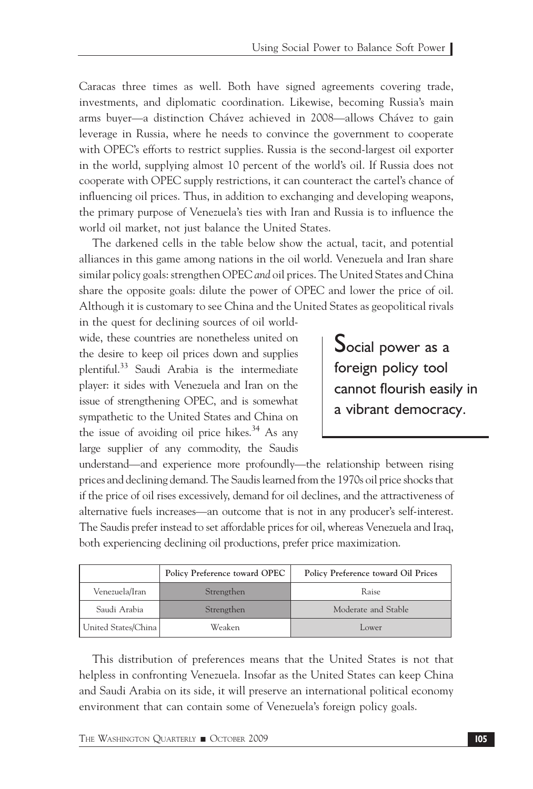Caracas three times as well. Both have signed agreements covering trade, investments, and diplomatic coordination. Likewise, becoming Russia's main arms buyer—a distinction Chávez achieved in 2008—allows Chávez to gain leverage in Russia, where he needs to convince the government to cooperate with OPEC's efforts to restrict supplies. Russia is the second-largest oil exporter in the world, supplying almost 10 percent of the world's oil. If Russia does not cooperate with OPEC supply restrictions, it can counteract the cartel's chance of influencing oil prices. Thus, in addition to exchanging and developing weapons, the primary purpose of Venezuela's ties with Iran and Russia is to influence the world oil market, not just balance the United States.

The darkened cells in the table below show the actual, tacit, and potential alliances in this game among nations in the oil world. Venezuela and Iran share similar policy goals: strengthen OPEC and oil prices. The United States and China share the opposite goals: dilute the power of OPEC and lower the price of oil. Although it is customary to see China and the United States as geopolitical rivals

in the quest for declining sources of oil worldwide, these countries are nonetheless united on the desire to keep oil prices down and supplies plentiful.33 Saudi Arabia is the intermediate player: it sides with Venezuela and Iran on the issue of strengthening OPEC, and is somewhat sympathetic to the United States and China on the issue of avoiding oil price hikes.<sup>34</sup> As any large supplier of any commodity, the Saudis

Social power as a foreign policy tool cannot flourish easily in a vibrant democracy.

understand—and experience more profoundly—the relationship between rising prices and declining demand. The Saudis learned from the 1970s oil price shocks that if the price of oil rises excessively, demand for oil declines, and the attractiveness of alternative fuels increases—an outcome that is not in any producer's self-interest. The Saudis prefer instead to set affordable prices for oil, whereas Venezuela and Iraq, both experiencing declining oil productions, prefer price maximization.

|                     | Policy Preference toward OPEC | Policy Preference toward Oil Prices |
|---------------------|-------------------------------|-------------------------------------|
| Venezuela/Iran      | Strengthen                    | Raise                               |
| Saudi Arabia        | Strengthen                    | Moderate and Stable                 |
| United States/China | Weaken                        | Lower                               |

This distribution of preferences means that the United States is not that helpless in confronting Venezuela. Insofar as the United States can keep China and Saudi Arabia on its side, it will preserve an international political economy environment that can contain some of Venezuela's foreign policy goals.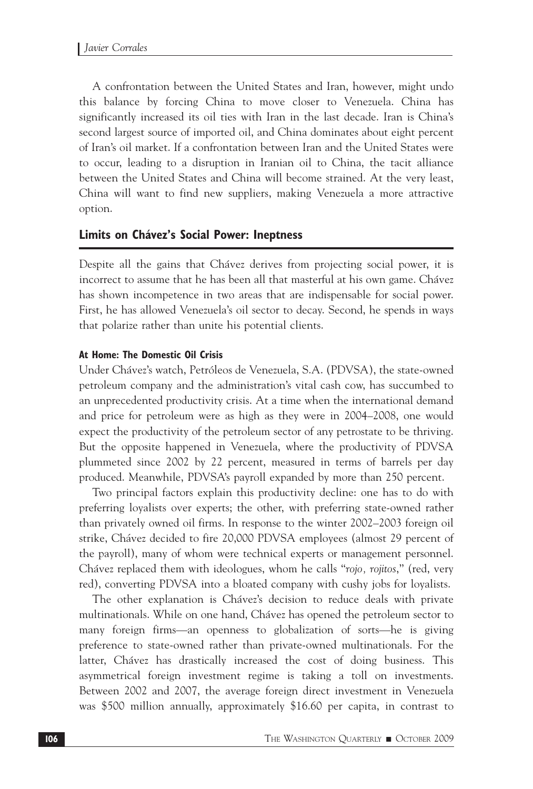A confrontation between the United States and Iran, however, might undo this balance by forcing China to move closer to Venezuela. China has significantly increased its oil ties with Iran in the last decade. Iran is China's second largest source of imported oil, and China dominates about eight percent of Iran's oil market. If a confrontation between Iran and the United States were to occur, leading to a disruption in Iranian oil to China, the tacit alliance between the United States and China will become strained. At the very least, China will want to find new suppliers, making Venezuela a more attractive option.

## Limits on Chávez's Social Power: Ineptness

Despite all the gains that Chávez derives from projecting social power, it is incorrect to assume that he has been all that masterful at his own game. Chávez has shown incompetence in two areas that are indispensable for social power. First, he has allowed Venezuela's oil sector to decay. Second, he spends in ways that polarize rather than unite his potential clients.

## At Home: The Domestic Oil Crisis

Under Chávez's watch, Petróleos de Venezuela, S.A. (PDVSA), the state-owned petroleum company and the administration's vital cash cow, has succumbed to an unprecedented productivity crisis. At a time when the international demand and price for petroleum were as high as they were in 2004—2008, one would expect the productivity of the petroleum sector of any petrostate to be thriving. But the opposite happened in Venezuela, where the productivity of PDVSA plummeted since 2002 by 22 percent, measured in terms of barrels per day produced. Meanwhile, PDVSA's payroll expanded by more than 250 percent.

Two principal factors explain this productivity decline: one has to do with preferring loyalists over experts; the other, with preferring state-owned rather than privately owned oil firms. In response to the winter 2002—2003 foreign oil strike, Chávez decided to fire 20,000 PDVSA employees (almost 29 percent of the payroll), many of whom were technical experts or management personnel. Chavez replaced them with ideologues, whom he calls "rojo, rojitos," (red, very red), converting PDVSA into a bloated company with cushy jobs for loyalists.

The other explanation is Chávez's decision to reduce deals with private multinationals. While on one hand, Chávez has opened the petroleum sector to many foreign firms—an openness to globalization of sorts—he is giving preference to state-owned rather than private-owned multinationals. For the latter, Chávez has drastically increased the cost of doing business. This asymmetrical foreign investment regime is taking a toll on investments. Between 2002 and 2007, the average foreign direct investment in Venezuela was \$500 million annually, approximately \$16.60 per capita, in contrast to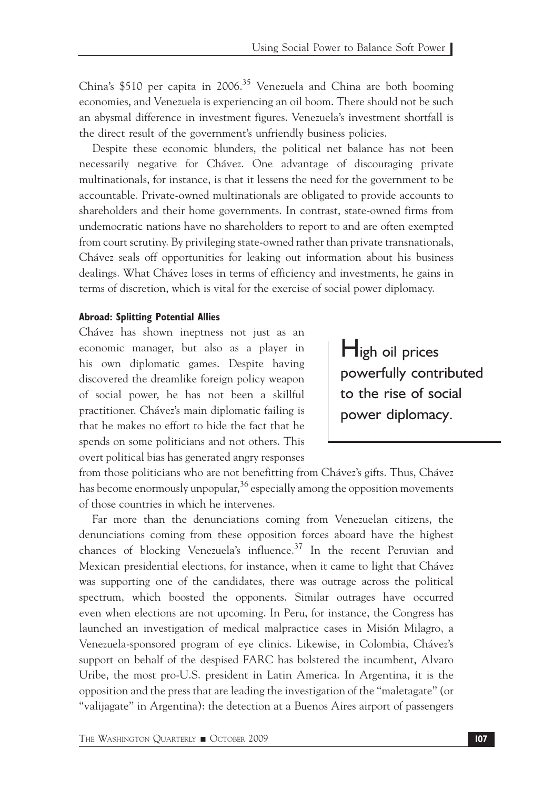China's \$510 per capita in 2006.<sup>35</sup> Venezuela and China are both booming economies, and Venezuela is experiencing an oil boom. There should not be such an abysmal difference in investment figures. Venezuela's investment shortfall is the direct result of the government's unfriendly business policies.

Despite these economic blunders, the political net balance has not been necessarily negative for Cha´vez. One advantage of discouraging private multinationals, for instance, is that it lessens the need for the government to be accountable. Private-owned multinationals are obligated to provide accounts to shareholders and their home governments. In contrast, state-owned firms from undemocratic nations have no shareholders to report to and are often exempted from court scrutiny. By privileging state-owned rather than private transnationals, Chavez seals off opportunities for leaking out information about his business dealings. What Chavez loses in terms of efficiency and investments, he gains in terms of discretion, which is vital for the exercise of social power diplomacy.

#### Abroad: Splitting Potential Allies

Chávez has shown ineptness not just as an economic manager, but also as a player in his own diplomatic games. Despite having discovered the dreamlike foreign policy weapon of social power, he has not been a skillful practitioner. Cha´vez's main diplomatic failing is that he makes no effort to hide the fact that he spends on some politicians and not others. This overt political bias has generated angry responses

High oil prices powerfully contributed to the rise of social power diplomacy.

from those politicians who are not benefitting from Chávez's gifts. Thus, Chávez has become enormously unpopular,  $36$  especially among the opposition movements of those countries in which he intervenes.

Far more than the denunciations coming from Venezuelan citizens, the denunciations coming from these opposition forces aboard have the highest chances of blocking Venezuela's influence.<sup>37</sup> In the recent Peruvian and Mexican presidential elections, for instance, when it came to light that Chávez was supporting one of the candidates, there was outrage across the political spectrum, which boosted the opponents. Similar outrages have occurred even when elections are not upcoming. In Peru, for instance, the Congress has launched an investigation of medical malpractice cases in Misión Milagro, a Venezuela-sponsored program of eye clinics. Likewise, in Colombia, Chávez's support on behalf of the despised FARC has bolstered the incumbent, Alvaro Uribe, the most pro-U.S. president in Latin America. In Argentina, it is the opposition and the press that are leading the investigation of the ''maletagate'' (or ''valijagate'' in Argentina): the detection at a Buenos Aires airport of passengers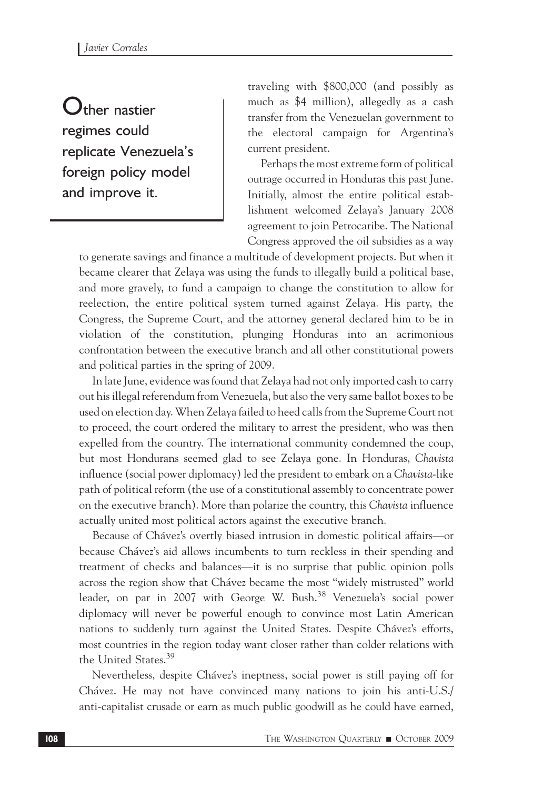**O**ther nastier regimes could replicate Venezuela's foreign policy model and improve it.

traveling with \$800,000 (and possibly as much as \$4 million), allegedly as a cash transfer from the Venezuelan government to the electoral campaign for Argentina's current president.

Perhaps the most extreme form of political outrage occurred in Honduras this past June. Initially, almost the entire political establishment welcomed Zelaya's January 2008 agreement to join Petrocaribe. The National Congress approved the oil subsidies as a way

to generate savings and finance a multitude of development projects. But when it became clearer that Zelaya was using the funds to illegally build a political base, and more gravely, to fund a campaign to change the constitution to allow for reelection, the entire political system turned against Zelaya. His party, the Congress, the Supreme Court, and the attorney general declared him to be in violation of the constitution, plunging Honduras into an acrimonious confrontation between the executive branch and all other constitutional powers and political parties in the spring of 2009.

In late June, evidence was found that Zelaya had not only imported cash to carry out his illegal referendum from Venezuela, but also the very same ballot boxes to be used on election day. When Zelaya failed to heed calls from the Supreme Court not to proceed, the court ordered the military to arrest the president, who was then expelled from the country. The international community condemned the coup, but most Hondurans seemed glad to see Zelaya gone. In Honduras, Chavista influence (social power diplomacy) led the president to embark on a Chavista-like path of political reform (the use of a constitutional assembly to concentrate power on the executive branch). More than polarize the country, this Chavista influence actually united most political actors against the executive branch.

Because of Chávez's overtly biased intrusion in domestic political affairs—or because Chávez's aid allows incumbents to turn reckless in their spending and treatment of checks and balances—it is no surprise that public opinion polls across the region show that Chávez became the most "widely mistrusted" world leader, on par in 2007 with George W. Bush.<sup>38</sup> Venezuela's social power diplomacy will never be powerful enough to convince most Latin American nations to suddenly turn against the United States. Despite Chávez's efforts, most countries in the region today want closer rather than colder relations with the United States.<sup>39</sup>

Nevertheless, despite Chávez's ineptness, social power is still paying off for Chavez. He may not have convinced many nations to join his anti-U.S./ anti-capitalist crusade or earn as much public goodwill as he could have earned,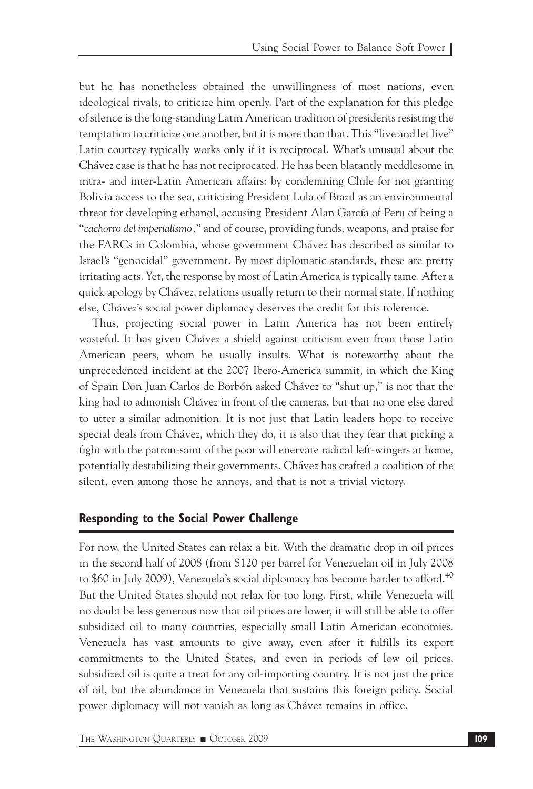but he has nonetheless obtained the unwillingness of most nations, even ideological rivals, to criticize him openly. Part of the explanation for this pledge of silence is the long-standing Latin American tradition of presidents resisting the temptation to criticize one another, but it is more than that. This ''live and let live'' Latin courtesy typically works only if it is reciprocal. What's unusual about the Cha´vez case is that he has not reciprocated. He has been blatantly meddlesome in intra- and inter-Latin American affairs: by condemning Chile for not granting Bolivia access to the sea, criticizing President Lula of Brazil as an environmental threat for developing ethanol, accusing President Alan García of Peru of being a ''cachorro del imperialismo,'' and of course, providing funds, weapons, and praise for the FARCs in Colombia, whose government Chávez has described as similar to Israel's ''genocidal'' government. By most diplomatic standards, these are pretty irritating acts. Yet, the response by most of Latin America is typically tame. After a quick apology by Chávez, relations usually return to their normal state. If nothing else, Cha´vez's social power diplomacy deserves the credit for this tolerence.

Thus, projecting social power in Latin America has not been entirely wasteful. It has given Chávez a shield against criticism even from those Latin American peers, whom he usually insults. What is noteworthy about the unprecedented incident at the 2007 Ibero-America summit, in which the King of Spain Don Juan Carlos de Borbón asked Chávez to "shut up," is not that the king had to admonish Chávez in front of the cameras, but that no one else dared to utter a similar admonition. It is not just that Latin leaders hope to receive special deals from Chávez, which they do, it is also that they fear that picking a fight with the patron-saint of the poor will enervate radical left-wingers at home, potentially destabilizing their governments. Cha´vez has crafted a coalition of the silent, even among those he annoys, and that is not a trivial victory.

## Responding to the Social Power Challenge

For now, the United States can relax a bit. With the dramatic drop in oil prices in the second half of 2008 (from \$120 per barrel for Venezuelan oil in July 2008 to \$60 in July 2009), Venezuela's social diplomacy has become harder to afford.<sup>40</sup> But the United States should not relax for too long. First, while Venezuela will no doubt be less generous now that oil prices are lower, it will still be able to offer subsidized oil to many countries, especially small Latin American economies. Venezuela has vast amounts to give away, even after it fulfills its export commitments to the United States, and even in periods of low oil prices, subsidized oil is quite a treat for any oil-importing country. It is not just the price of oil, but the abundance in Venezuela that sustains this foreign policy. Social power diplomacy will not vanish as long as Chávez remains in office.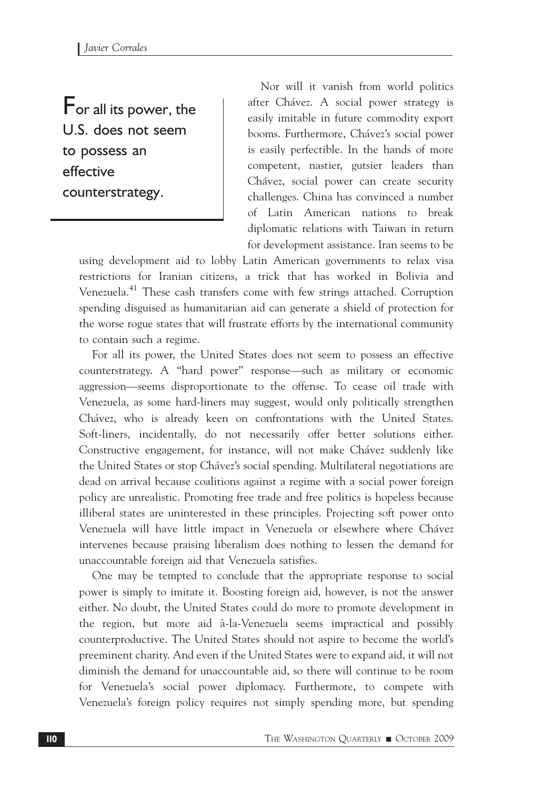For all its power, the U.S. does not seem to possess an effective counterstrategy.

Nor will it vanish from world politics after Chávez. A social power strategy is easily imitable in future commodity export booms. Furthermore, Cha´vez's social power is easily perfectible. In the hands of more competent, nastier, gutsier leaders than Chávez, social power can create security challenges. China has convinced a number of Latin American nations to break diplomatic relations with Taiwan in return for development assistance. Iran seems to be

using development aid to lobby Latin American governments to relax visa restrictions for Iranian citizens, a trick that has worked in Bolivia and Venezuela.<sup>41</sup> These cash transfers come with few strings attached. Corruption spending disguised as humanitarian aid can generate a shield of protection for the worse rogue states that will frustrate efforts by the international community to contain such a regime.

For all its power, the United States does not seem to possess an effective counterstrategy. A "hard power" response—such as military or economic aggression—seems disproportionate to the offense. To cease oil trade with Venezuela, as some hard-liners may suggest, would only politically strengthen Chávez, who is already keen on confrontations with the United States. Soft-liners, incidentally, do not necessarily offer better solutions either. Constructive engagement, for instance, will not make Chávez suddenly like the United States or stop Chávez's social spending. Multilateral negotiations are dead on arrival because coalitions against a regime with a social power foreign policy are unrealistic. Promoting free trade and free politics is hopeless because illiberal states are uninterested in these principles. Projecting soft power onto Venezuela will have little impact in Venezuela or elsewhere where Chávez intervenes because praising liberalism does nothing to lessen the demand for unaccountable foreign aid that Venezuela satisfies.

One may be tempted to conclude that the appropriate response to social power is simply to imitate it. Boosting foreign aid, however, is not the answer either. No doubt, the United States could do more to promote development in the region, but more aid a`-la-Venezuela seems impractical and possibly counterproductive. The United States should not aspire to become the world's preeminent charity. And even if the United States were to expand aid, it will not diminish the demand for unaccountable aid, so there will continue to be room for Venezuela's social power diplomacy. Furthermore, to compete with Venezuela's foreign policy requires not simply spending more, but spending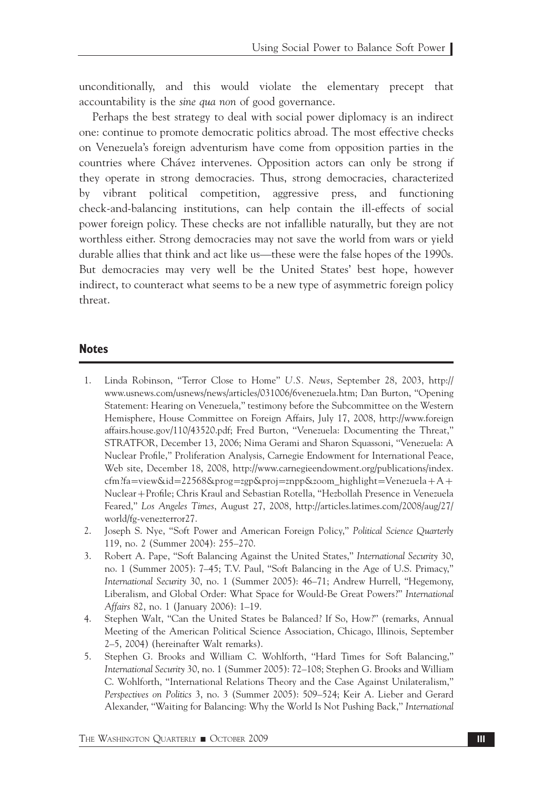unconditionally, and this would violate the elementary precept that accountability is the sine qua non of good governance.

Perhaps the best strategy to deal with social power diplomacy is an indirect one: continue to promote democratic politics abroad. The most effective checks on Venezuela's foreign adventurism have come from opposition parties in the countries where Chávez intervenes. Opposition actors can only be strong if they operate in strong democracies. Thus, strong democracies, characterized by vibrant political competition, aggressive press, and functioning check-and-balancing institutions, can help contain the ill-effects of social power foreign policy. These checks are not infallible naturally, but they are not worthless either. Strong democracies may not save the world from wars or yield durable allies that think and act like us—these were the false hopes of the 1990s. But democracies may very well be the United States' best hope, however indirect, to counteract what seems to be a new type of asymmetric foreign policy threat.

#### Notes

- 1. Linda Robinson, ''Terror Close to Home'' U.S. News, September 28, 2003, http:// www.usnews.com/usnews/news/articles/031006/6venezuela.htm; Dan Burton, ''Opening Statement: Hearing on Venezuela,'' testimony before the Subcommittee on the Western Hemisphere, House Committee on Foreign Affairs, July 17, 2008, http://www.foreign affairs.house.gov/110/43520.pdf; Fred Burton, ''Venezuela: Documenting the Threat,'' STRATFOR, December 13, 2006; Nima Gerami and Sharon Squassoni, ''Venezuela: A Nuclear Profile,'' Proliferation Analysis, Carnegie Endowment for International Peace, Web site, December 18, 2008, http://www.carnegieendowment.org/publications/index. cfm?fa=view&id=22568&prog=zgp&proj=znpp&zoom\_highlight=Venezuela+A+ Nuclear+Profile; Chris Kraul and Sebastian Rotella, "Hezbollah Presence in Venezuela Feared,'' Los Angeles Times, August 27, 2008, http://articles.latimes.com/2008/aug/27/ world/fg-venezterror27.
- 2. Joseph S. Nye, ''Soft Power and American Foreign Policy,'' Political Science Quarterly 119, no. 2 (Summer 2004): 255—270.
- 3. Robert A. Pape, ''Soft Balancing Against the United States,'' International Security 30, no. 1 (Summer 2005): 7—45; T.V. Paul, ''Soft Balancing in the Age of U.S. Primacy,'' International Security 30, no. 1 (Summer 2005): 46—71; Andrew Hurrell, ''Hegemony, Liberalism, and Global Order: What Space for Would-Be Great Powers?'' International Affairs 82, no. 1 (January 2006): 1—19.
- 4. Stephen Walt, ''Can the United States be Balanced? If So, How?'' (remarks, Annual Meeting of the American Political Science Association, Chicago, Illinois, September 2—5, 2004) (hereinafter Walt remarks).
- 5. Stephen G. Brooks and William C. Wohlforth, ''Hard Times for Soft Balancing,'' International Security 30, no. 1 (Summer 2005): 72—108; Stephen G. Brooks and William C. Wohlforth, ''International Relations Theory and the Case Against Unilateralism,'' Perspectives on Politics 3, no. 3 (Summer 2005): 509—524; Keir A. Lieber and Gerard Alexander, ''Waiting for Balancing: Why the World Is Not Pushing Back,'' International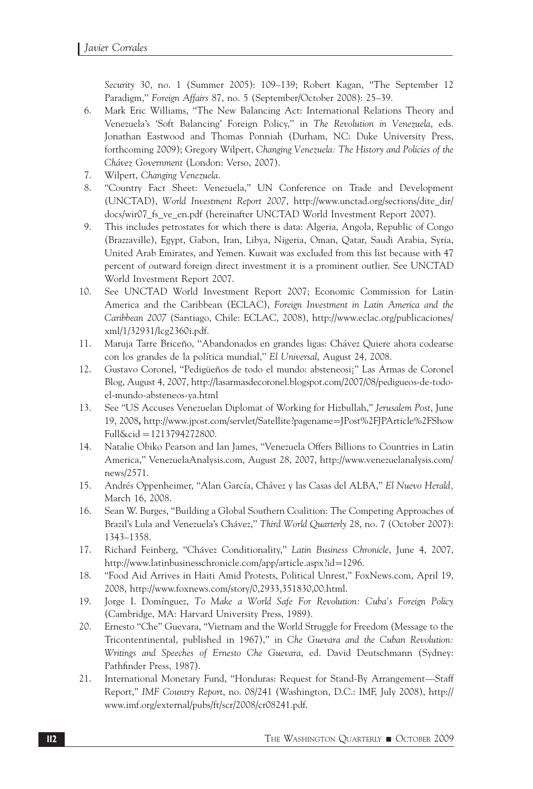Security 30, no. 1 (Summer 2005): 109—139; Robert Kagan, ''The September 12 Paradigm,'' Foreign Affairs 87, no. 5 (September/October 2008): 25—39.

- 6. Mark Eric Williams, ''The New Balancing Act: International Relations Theory and Venezuela's 'Soft Balancing' Foreign Policy,'' in The Revolution in Venezuela, eds. Jonathan Eastwood and Thomas Ponniah (Durham, NC: Duke University Press, forthcoming 2009); Gregory Wilpert, Changing Venezuela: The History and Policies of the Chávez Government (London: Verso, 2007).
- 7. Wilpert, Changing Venezuela.
- 8. ''Country Fact Sheet: Venezuela,'' UN Conference on Trade and Development (UNCTAD), World Investment Report 2007, http://www.unctad.org/sections/dite\_dir/ docs/wir07\_fs\_ve\_en.pdf (hereinafter UNCTAD World Investment Report 2007).
- 9. This includes petrostates for which there is data: Algeria, Angola, Republic of Congo (Brazzaville), Egypt, Gabon, Iran, Libya, Nigeria, Oman, Qatar, Saudi Arabia, Syria, United Arab Emirates, and Yemen. Kuwait was excluded from this list because with 47 percent of outward foreign direct investment it is a prominent outlier. See UNCTAD World Investment Report 2007.
- 10. See UNCTAD World Investment Report 2007; Economic Commission for Latin America and the Caribbean (ECLAC), Foreign Investment in Latin America and the Caribbean 2007 (Santiago, Chile: ECLAC, 2008), http://www.eclac.org/publicaciones/ xml/1/32931/lcg2360i.pdf.
- 11. Maruja Tarre Briceño, "Abandonados en grandes ligas: Chávez Quiere ahora codearse con los grandes de la política mundial," El Universal, August 24, 2008.
- 12. Gustavo Coronel, "Pedigüeños de todo el mundo: absteneosi¡" Las Armas de Coronel Blog, August 4, 2007, http://lasarmasdecoronel.blogspot.com/2007/08/pedigueos-de-todoel-mundo-absteneos-ya.html
- 13. See ''US Accuses Venezuelan Diplomat of Working for Hizbullah,'' Jerusalem Post, June 19, 2008, http://www.jpost.com/servlet/Satellite?pagename-JPost%2FJPArticle%2FShow Full&cid-1213794272800.
- 14. Natalie Obiko Pearson and Ian James, ''Venezuela Offers Billions to Countries in Latin America,'' VenezuelaAnalysis.com, August 28, 2007, http://www.venezuelanalysis.com/ news/2571.
- 15. Andrés Oppenheimer, "Alan García, Chávez y las Casas del ALBA," El Nuevo Herald, March 16, 2008.
- 16. Sean W. Burges, ''Building a Global Southern Coalition: The Competing Approaches of Brazil's Lula and Venezuela's Chávez," Third World Quarterly 28, no. 7 (October 2007): 1343—1358.
- 17. Richard Feinberg, "Chávez Conditionality," Latin Business Chronicle, June 4, 2007, http://www.latinbusinesschronicle.com/app/article.aspx?id-1296.
- 18. ''Food Aid Arrives in Haiti Amid Protests, Political Unrest,'' FoxNews.com, April 19, 2008, http://www.foxnews.com/story/0,2933,351830,00.html.
- 19. Jorge I. Dom´ınguez, To Make a World Safe For Revolution: Cuba's Foreign Policy (Cambridge, MA: Harvard University Press, 1989).
- 20. Ernesto "Che" Guevara, "Vietnam and the World Struggle for Freedom (Message to the Tricontentinental, published in 1967)," in Che Guevara and the Cuban Revolution: Writings and Speeches of Ernesto Che Guevara, ed. David Deutschmann (Sydney: Pathfinder Press, 1987).
- 21. International Monetary Fund, "Honduras: Request for Stand-By Arrangement—Staff Report,'' IMF Country Report, no. 08/241 (Washington, D.C.: IMF, July 2008), http:// www.imf.org/external/pubs/ft/scr/2008/cr08241.pdf.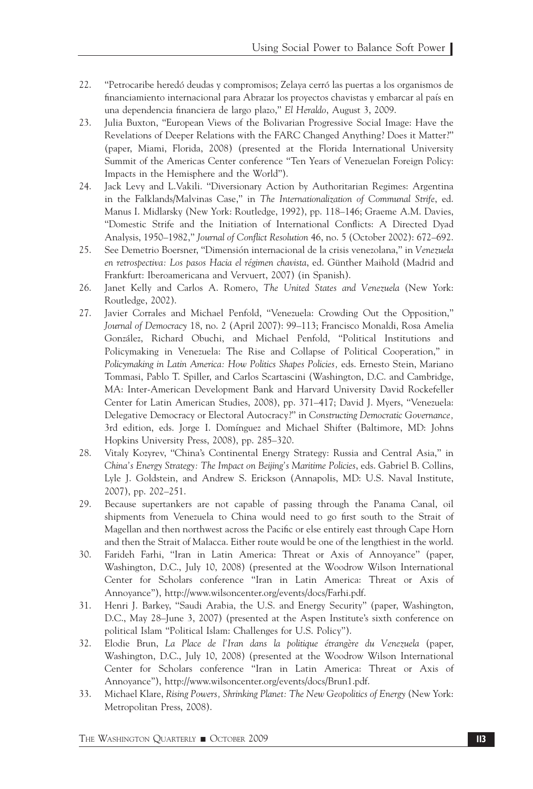- 22. "Petrocaribe heredó deudas y compromisos; Zelaya cerró las puertas a los organismos de financiamiento internacional para Abrazar los proyectos chavistas y embarcar al país en una dependencia financiera de largo plazo,'' El Heraldo, August 3, 2009.
- 23. Julia Buxton, ''European Views of the Bolivarian Progressive Social Image: Have the Revelations of Deeper Relations with the FARC Changed Anything? Does it Matter?'' (paper, Miami, Florida, 2008) (presented at the Florida International University Summit of the Americas Center conference ''Ten Years of Venezuelan Foreign Policy: Impacts in the Hemisphere and the World'').
- 24. Jack Levy and L.Vakili. ''Diversionary Action by Authoritarian Regimes: Argentina in the Falklands/Malvinas Case,'' in The Internationalization of Communal Strife, ed. Manus I. Midlarsky (New York: Routledge, 1992), pp. 118—146; Graeme A.M. Davies, ''Domestic Strife and the Initiation of International Conflicts: A Directed Dyad Analysis, 1950—1982,'' Journal of Conflict Resolution 46, no. 5 (October 2002): 672—692.
- 25. See Demetrio Boersner, "Dimensión internacional de la crisis venezolana," in Venezuela en retrospectiva: Los pasos Hacia el régimen chavista, ed. Günther Maihold (Madrid and Frankfurt: Iberoamericana and Vervuert, 2007) (in Spanish).
- 26. Janet Kelly and Carlos A. Romero, The United States and Venezuela (New York: Routledge, 2002).
- 27. Javier Corrales and Michael Penfold, ''Venezuela: Crowding Out the Opposition,'' Journal of Democracy 18, no. 2 (April 2007): 99—113; Francisco Monaldi, Rosa Amelia Gonza´lez, Richard Obuchi, and Michael Penfold, ''Political Institutions and Policymaking in Venezuela: The Rise and Collapse of Political Cooperation,'' in Policymaking in Latin America: How Politics Shapes Policies, eds. Ernesto Stein, Mariano Tommasi, Pablo T. Spiller, and Carlos Scartascini (Washington, D.C. and Cambridge, MA: Inter-American Development Bank and Harvard University David Rockefeller Center for Latin American Studies, 2008), pp. 371—417; David J. Myers, ''Venezuela: Delegative Democracy or Electoral Autocracy?'' in Constructing Democratic Governance, 3rd edition, eds. Jorge I. Domínguez and Michael Shifter (Baltimore, MD: Johns Hopkins University Press, 2008), pp. 285—320.
- 28. Vitaly Kozyrev, ''China's Continental Energy Strategy: Russia and Central Asia,'' in China's Energy Strategy: The Impact on Beijing's Maritime Policies, eds. Gabriel B. Collins, Lyle J. Goldstein, and Andrew S. Erickson (Annapolis, MD: U.S. Naval Institute, 2007), pp. 202—251.
- 29. Because supertankers are not capable of passing through the Panama Canal, oil shipments from Venezuela to China would need to go first south to the Strait of Magellan and then northwest across the Pacific or else entirely east through Cape Horn and then the Strait of Malacca. Either route would be one of the lengthiest in the world.
- 30. Farideh Farhi, ''Iran in Latin America: Threat or Axis of Annoyance'' (paper, Washington, D.C., July 10, 2008) (presented at the Woodrow Wilson International Center for Scholars conference ''Iran in Latin America: Threat or Axis of Annoyance''), http://www.wilsoncenter.org/events/docs/Farhi.pdf.
- 31. Henri J. Barkey, ''Saudi Arabia, the U.S. and Energy Security'' (paper, Washington, D.C., May 28—June 3, 2007) (presented at the Aspen Institute's sixth conference on political Islam ''Political Islam: Challenges for U.S. Policy'').
- 32. Elodie Brun, La Place de l'Iran dans la politique étrangère du Venezuela (paper, Washington, D.C., July 10, 2008) (presented at the Woodrow Wilson International Center for Scholars conference ''Iran in Latin America: Threat or Axis of Annoyance''), http://www.wilsoncenter.org/events/docs/Brun1.pdf.
- 33. Michael Klare, Rising Powers, Shrinking Planet: The New Geopolitics of Energy (New York: Metropolitan Press, 2008).